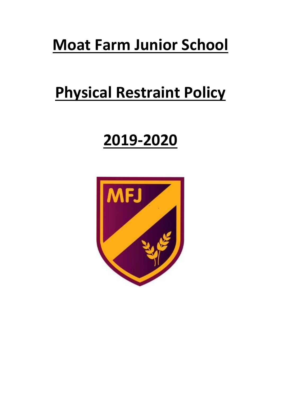# **Moat Farm Junior School**

# **Physical Restraint Policy**

# **2019-2020**

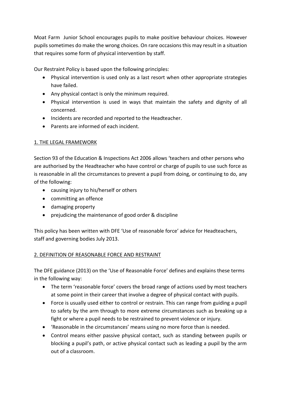Moat Farm Junior School encourages pupils to make positive behaviour choices. However pupils sometimes do make the wrong choices. On rare occasions this may result in a situation that requires some form of physical intervention by staff.

Our Restraint Policy is based upon the following principles:

- Physical intervention is used only as a last resort when other appropriate strategies have failed.
- Any physical contact is only the minimum required.
- Physical intervention is used in ways that maintain the safety and dignity of all concerned.
- Incidents are recorded and reported to the Headteacher.
- Parents are informed of each incident.

# 1. THE LEGAL FRAMEWORK

Section 93 of the Education & Inspections Act 2006 allows 'teachers and other persons who are authorised by the Headteacher who have control or charge of pupils to use such force as is reasonable in all the circumstances to prevent a pupil from doing, or continuing to do, any of the following:

- causing injury to his/herself or others
- committing an offence
- damaging property
- prejudicing the maintenance of good order & discipline

This policy has been written with DFE 'Use of reasonable force' advice for Headteachers, staff and governing bodies July 2013.

## 2. DEFINITION OF REASONABLE FORCE AND RESTRAINT

The DFE guidance (2013) on the 'Use of Reasonable Force' defines and explains these terms in the following way:

- The term 'reasonable force' covers the broad range of actions used by most teachers at some point in their career that involve a degree of physical contact with pupils.
- Force is usually used either to control or restrain. This can range from guiding a pupil to safety by the arm through to more extreme circumstances such as breaking up a fight or where a pupil needs to be restrained to prevent violence or injury.
- 'Reasonable in the circumstances' means using no more force than is needed.
- Control means either passive physical contact, such as standing between pupils or blocking a pupil's path, or active physical contact such as leading a pupil by the arm out of a classroom.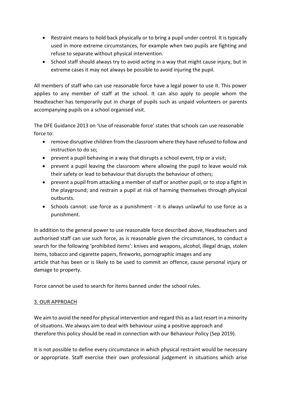- Restraint means to hold back physically or to bring a pupil under control. It is typically used in more extreme circumstances, for example when two pupils are fighting and refuse to separate without physical intervention.
- School staff should always try to avoid acting in a way that might cause injury, but in extreme cases it may not always be possible to avoid injuring the pupil.

All members of staff who can use reasonable force have a legal power to use it. This power applies to any member of staff at the school. It can also apply to people whom the Headteacher has temporarily put in charge of pupils such as unpaid volunteers or parents accompanying pupils on a school organised visit.

The DFE Guidance 2013 on 'Use of reasonable force' states that schools can use reasonable force to:

- remove disruptive children from the classroom where they have refused to follow and instruction to do so;
- prevent a pupil behaving in a way that disrupts a school event, trip or a visit;
- prevent a pupil leaving the classroom where allowing the pupil to leave would risk their safety or lead to behaviour that disrupts the behaviour of others;
- prevent a pupil from attacking a member of staff or another pupil, or to stop a fight in the playground; and restrain a pupil at risk of harming themselves through physical outbursts.
- Schools cannot: use force as a punishment it is always unlawful to use force as a punishment.

In addition to the general power to use reasonable force described above, Headteachers and authorised staff can use such force, as is reasonable given the circumstances, to conduct a search for the following 'prohibited items': knives and weapons, alcohol, illegal drugs, stolen items, tobacco and cigarette papers, fireworks, pornographic images and any article that has been or is likely to be used to commit an offence, cause personal injury or damage to property.

Force cannot be used to search for items banned under the school rules.

## 3. OUR APPROACH

We aim to avoid the need for physical intervention and regard this as a last resort in a minority of situations. We always aim to deal with behaviour using a positive approach and therefore this policy should be read in connection with our Behaviour Policy (Sep 2019).

It is not possible to define every circumstance in which physical restraint would be necessary or appropriate. Staff exercise their own professional judgement in situations which arise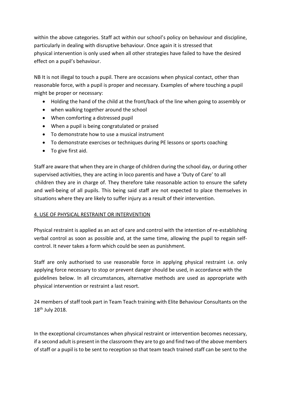within the above categories. Staff act within our school's policy on behaviour and discipline, particularly in dealing with disruptive behaviour. Once again it is stressed that physical intervention is only used when all other strategies have failed to have the desired effect on a pupil's behaviour.

NB It is not illegal to touch a pupil. There are occasions when physical contact, other than reasonable force, with a pupil is proper and necessary. Examples of where touching a pupil might be proper or necessary:

- Holding the hand of the child at the front/back of the line when going to assembly or
- when walking together around the school
- When comforting a distressed pupil
- When a pupil is being congratulated or praised
- To demonstrate how to use a musical instrument
- To demonstrate exercises or techniques during PE lessons or sports coaching
- To give first aid.

Staff are aware that when they are in charge of children during the school day, or during other supervised activities, they are acting in loco parentis and have a 'Duty of Care' to all children they are in charge of. They therefore take reasonable action to ensure the safety and well-being of all pupils. This being said staff are not expected to place themselves in situations where they are likely to suffer injury as a result of their intervention.

#### 4. USE OF PHYSICAL RESTRAINT OR INTERVENTION

Physical restraint is applied as an act of care and control with the intention of re-establishing verbal control as soon as possible and, at the same time, allowing the pupil to regain selfcontrol. It never takes a form which could be seen as punishment.

Staff are only authorised to use reasonable force in applying physical restraint i.e. only applying force necessary to stop or prevent danger should be used, in accordance with the guidelines below. In all circumstances, alternative methods are used as appropriate with physical intervention or restraint a last resort.

24 members of staff took part in Team Teach training with Elite Behaviour Consultants on the 18th July 2018.

In the exceptional circumstances when physical restraint or intervention becomes necessary, if a second adult is present in the classroom they are to go and find two of the above members of staff or a pupil is to be sent to reception so that team teach trained staff can be sent to the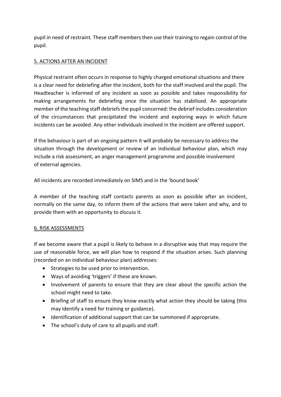pupil in need of restraint. These staff members then use their training to regain control of the pupil.

### 5. ACTIONS AFTER AN INCIDENT

Physical restraint often occurs in response to highly charged emotional situations and there is a clear need for debriefing after the incident, both for the staff involved and the pupil. The Headteacher is informed of any incident as soon as possible and takes responsibility for making arrangements for debriefing once the situation has stabilised. An appropriate member of the teaching staff debriefs the pupil concerned: the debrief includes consideration of the circumstances that precipitated the incident and exploring ways in which future incidents can be avoided. Any other individuals involved in the incident are offered support.

If the behaviour is part of an ongoing pattern it will probably be necessary to address the situation through the development or review of an individual behaviour plan, which may include a risk assessment, an anger management programme and possible involvement of external agencies.

All incidents are recorded immediately on SIMS and in the 'bound book'

A member of the teaching staff contacts parents as soon as possible after an incident, normally on the same day, to inform them of the actions that were taken and why, and to provide them with an opportunity to discuss it.

#### 6. RISK ASSESSMENTS

If we become aware that a pupil is likely to behave in a disruptive way that may require the use of reasonable force, we will plan how to respond if the situation arises. Such planning (recorded on an individual behaviour plan) addresses:

- Strategies to be used prior to intervention.
- Ways of avoiding 'triggers' if these are known.
- Involvement of parents to ensure that they are clear about the specific action the school might need to take.
- Briefing of staff to ensure they know exactly what action they should be taking (this may identify a need for training or guidance).
- Identification of additional support that can be summoned if appropriate.
- The school's duty of care to all pupils and staff.